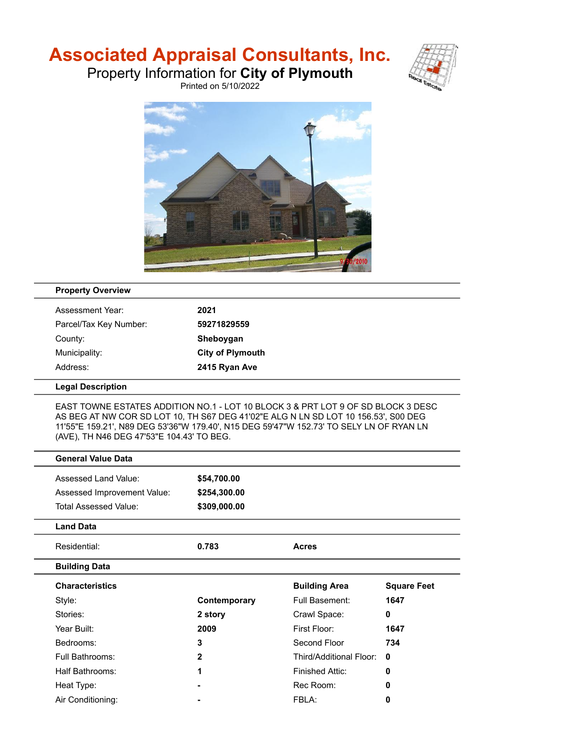## **Associated Appraisal Consultants, Inc.**



Property Information for **City of Plymouth**





## **Property Overview**

| Assessment Year:       | 2021                    |
|------------------------|-------------------------|
| Parcel/Tax Key Number: | 59271829559             |
| County:                | Sheboygan               |
| Municipality:          | <b>City of Plymouth</b> |
| Address:               | 2415 Ryan Ave           |
|                        |                         |

## **Legal Description**

EAST TOWNE ESTATES ADDITION NO.1 - LOT 10 BLOCK 3 & PRT LOT 9 OF SD BLOCK 3 DESC AS BEG AT NW COR SD LOT 10, TH S67 DEG 41'02"E ALG N LN SD LOT 10 156.53', S00 DEG 11'55"E 159.21', N89 DEG 53'36"W 179.40', N15 DEG 59'47"W 152.73' TO SELY LN OF RYAN LN (AVE), TH N46 DEG 47'53"E 104.43' TO BEG.

| <b>General Value Data</b>    |              |                         |                    |
|------------------------------|--------------|-------------------------|--------------------|
| Assessed Land Value:         | \$54,700.00  |                         |                    |
| Assessed Improvement Value:  | \$254,300.00 |                         |                    |
| <b>Total Assessed Value:</b> | \$309,000.00 |                         |                    |
| <b>Land Data</b>             |              |                         |                    |
| Residential:                 | 0.783        | <b>Acres</b>            |                    |
| <b>Building Data</b>         |              |                         |                    |
| <b>Characteristics</b>       |              | <b>Building Area</b>    | <b>Square Feet</b> |
| Style:                       | Contemporary | Full Basement:          | 1647               |
| Stories:                     | 2 story      | Crawl Space:            | 0                  |
| Year Built:                  | 2009         | First Floor:            | 1647               |
| Bedrooms:                    | 3            | Second Floor            | 734                |
| Full Bathrooms:              | $\mathbf{2}$ | Third/Additional Floor: | 0                  |
| Half Bathrooms:              | 1            | Finished Attic:         | ŋ                  |
| Heat Type:                   |              | Rec Room:               | n                  |
| Air Conditioning:            |              | FBLA:                   | 0                  |